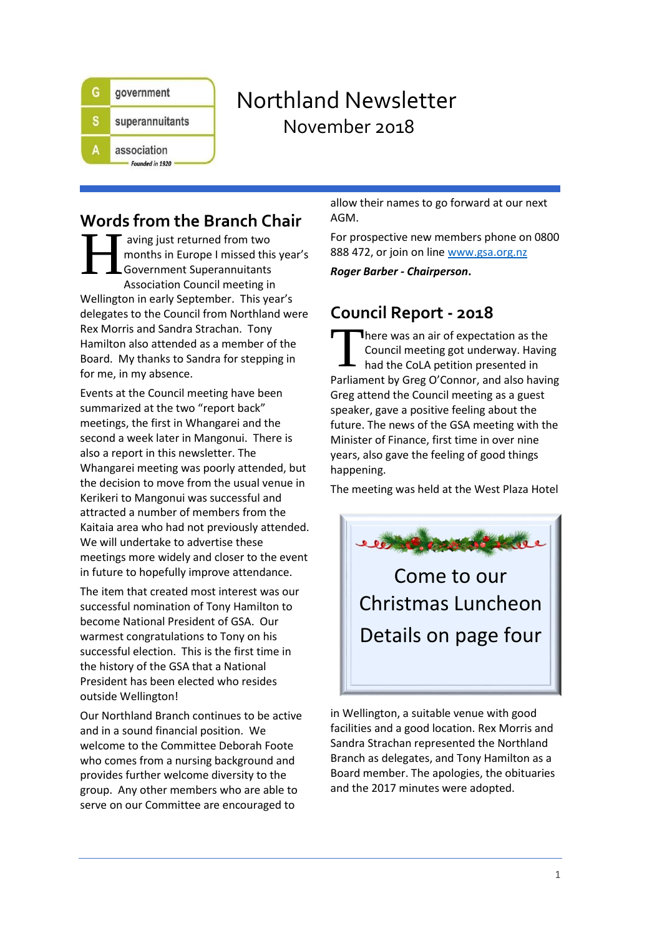

# Northland Newsletter November 2018

## **Words from the Branch Chair**

aving just returned from two months in Europe I missed this year's Government Superannuitants Association Council meeting in Wellington in early September. This year's delegates to the Council from Northland were Rex Morris and Sandra Strachan. Tony Hamilton also attended as a member of the Board. My thanks to Sandra for stepping in for me, in my absence. H

Events at the Council meeting have been summarized at the two "report back" meetings, the first in Whangarei and the second a week later in Mangonui. There is also a report in this newsletter. The Whangarei meeting was poorly attended, but the decision to move from the usual venue in Kerikeri to Mangonui was successful and attracted a number of members from the Kaitaia area who had not previously attended. We will undertake to advertise these meetings more widely and closer to the event in future to hopefully improve attendance.

The item that created most interest was our successful nomination of Tony Hamilton to become National President of GSA. Our warmest congratulations to Tony on his successful election. This is the first time in the history of the GSA that a National President has been elected who resides outside Wellington!

Our Northland Branch continues to be active and in a sound financial position. We welcome to the Committee Deborah Foote who comes from a nursing background and provides further welcome diversity to the group. Any other members who are able to serve on our Committee are encouraged to

allow their names to go forward at our next AGM.

For prospective new members phone on 0800 888 472, or join on lin[e www.gsa.org.nz](http://www.gsa.org.nz/)

*Roger Barber - Chairperson***.**

## **Council Report - 2018**

There was an air of expectation as the Council meeting got underway. Having had the CoLA petition presented in Parliament by Greg O'Connor, and also having Greg attend the Council meeting as a guest speaker, gave a positive feeling about the future. The news of the GSA meeting with the Minister of Finance, first time in over nine years, also gave the feeling of good things happening. T

The meeting was held at the West Plaza Hotel



in Wellington, a suitable venue with good facilities and a good location. Rex Morris and Sandra Strachan represented the Northland Branch as delegates, and Tony Hamilton as a Board member. The apologies, the obituaries and the 2017 minutes were adopted.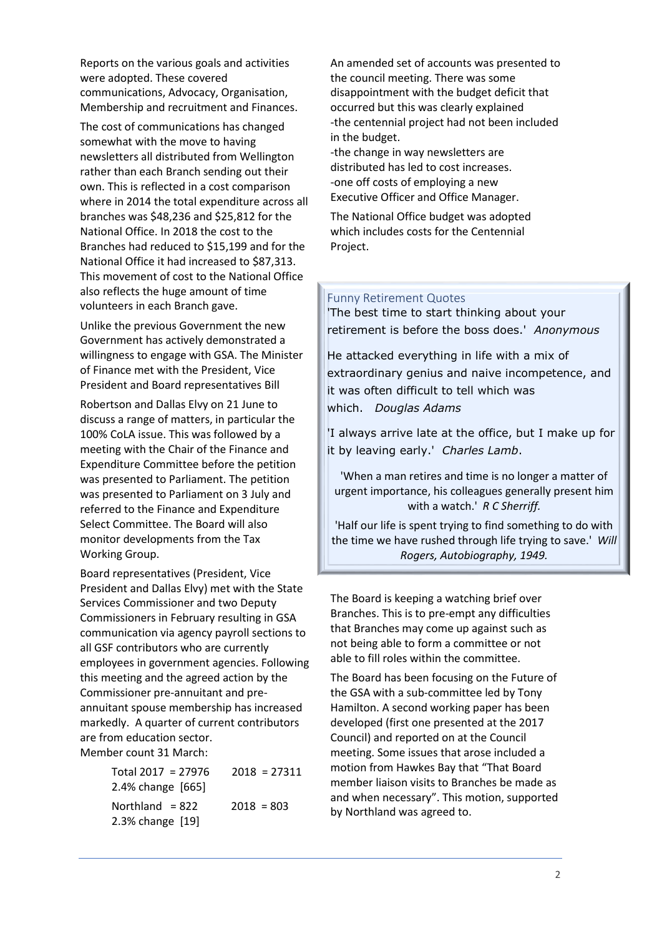Reports on the various goals and activities were adopted. These covered communications, Advocacy, Organisation, Membership and recruitment and Finances.

The cost of communications has changed somewhat with the move to having newsletters all distributed from Wellington rather than each Branch sending out their own. This is reflected in a cost comparison where in 2014 the total expenditure across all branches was \$48,236 and \$25,812 for the National Office. In 2018 the cost to the Branches had reduced to \$15,199 and for the National Office it had increased to \$87,313. This movement of cost to the National Office also reflects the huge amount of time volunteers in each Branch gave.

Unlike the previous Government the new Government has actively demonstrated a willingness to engage with GSA. The Minister of Finance met with the President, Vice President and Board representatives Bill

Robertson and Dallas Elvy on 21 June to discuss a range of matters, in particular the 100% CoLA issue. This was followed by a meeting with the Chair of the Finance and Expenditure Committee before the petition was presented to Parliament. The petition was presented to Parliament on 3 July and referred to the Finance and Expenditure Select Committee. The Board will also monitor developments from the Tax Working Group.

Board representatives (President, Vice President and Dallas Elvy) met with the State Services Commissioner and two Deputy Commissioners in February resulting in GSA communication via agency payroll sections to all GSF contributors who are currently employees in government agencies. Following this meeting and the agreed action by the Commissioner pre-annuitant and preannuitant spouse membership has increased markedly. A quarter of current contributors are from education sector. Member count 31 March:

| Total $2017 = 27976$<br>2.4% change [665] | $2018 = 27311$ |
|-------------------------------------------|----------------|
| Northland $= 822$<br>2.3% change [19]     | $2018 = 803$   |

An amended set of accounts was presented to the council meeting. There was some disappointment with the budget deficit that occurred but this was clearly explained -the centennial project had not been included in the budget.

-the change in way newsletters are distributed has led to cost increases. -one off costs of employing a new Executive Officer and Office Manager.

The National Office budget was adopted which includes costs for the Centennial Project.

#### Funny Retirement Quotes

'The best time to start thinking about your retirement is before the boss does.' *Anonymous*

He attacked everything in life with a mix of extraordinary genius and naive incompetence, and it was often difficult to tell which was which. *Douglas Adams*

'I always arrive late at the office, but I make up for it by leaving early.' *Charles Lamb*.

'When a man retires and time is no longer a matter of urgent importance, his colleagues generally present him with a watch.' *R C Sherriff.*

'Half our life is spent trying to find something to do with the time we have rushed through life trying to save.' *Will Rogers, Autobiography, 1949.*

The Board is keeping a watching brief over Branches. This is to pre-empt any difficulties that Branches may come up against such as not being able to form a committee or not able to fill roles within the committee.

The Board has been focusing on the Future of the GSA with a sub-committee led by Tony Hamilton. A second working paper has been developed (first one presented at the 2017 Council) and reported on at the Council meeting. Some issues that arose included a motion from Hawkes Bay that "That Board member liaison visits to Branches be made as and when necessary". This motion, supported by Northland was agreed to.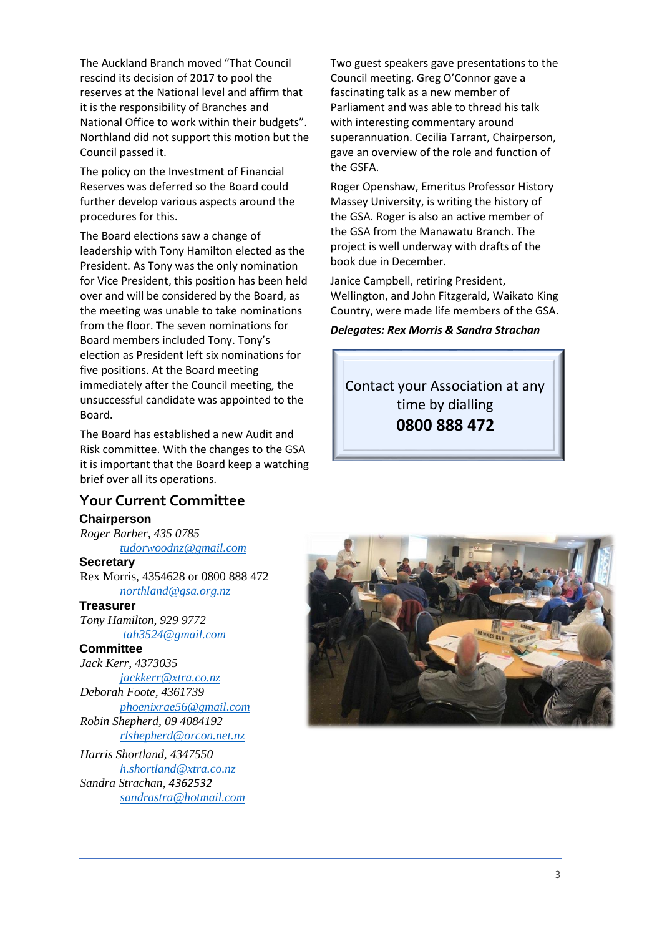The Auckland Branch moved "That Council rescind its decision of 2017 to pool the reserves at the National level and affirm that it is the responsibility of Branches and National Office to work within their budgets". Northland did not support this motion but the Council passed it.

The policy on the Investment of Financial Reserves was deferred so the Board could further develop various aspects around the procedures for this.

The Board elections saw a change of leadership with Tony Hamilton elected as the President. As Tony was the only nomination for Vice President, this position has been held over and will be considered by the Board, as the meeting was unable to take nominations from the floor. The seven nominations for Board members included Tony. Tony's election as President left six nominations for five positions. At the Board meeting immediately after the Council meeting, the unsuccessful candidate was appointed to the Board.

The Board has established a new Audit and Risk committee. With the changes to the GSA it is important that the Board keep a watching brief over all its operations.

### **Your Current Committee**

#### **Chairperson**

*Roger Barber, 435 0785 [tudorwoodnz@gmail.com](mailto:tudorwoodnz@gmail.com)*

#### **Secretary**

Rex Morris, 4354628 or 0800 888 472 *[northland@gsa.org.nz](mailto:northland@gsa.org.nz)*

#### **Treasurer**

*Tony Hamilton, 929 9772 [tah3524@gmail.com](mailto:tah3524@gmail.com)*

### **Committee**

*Jack Kerr, 4373035 [jackkerr@xtra.co.nz](mailto:jackkerr@xtra.co.nz) Deborah Foote, 4361739 [phoenixrae56@gmail.com](mailto:phoenixrae56@gmail.com) Robin Shepherd, 09 4084192 [rlshepherd@orcon.net.nz](mailto:rlshepherd@orcon.net.nz)*

*Harris Shortland, 4347550 [h.shortland@xtra.co.nz](mailto:h.shortland@xtra.co.nz) Sandra Strachan, 4362532 [sandrastra@hotmail.com](mailto:sandrastra@hotmail.com)*

Two guest speakers gave presentations to the Council meeting. Greg O'Connor gave a fascinating talk as a new member of Parliament and was able to thread his talk with interesting commentary around superannuation. Cecilia Tarrant, Chairperson, gave an overview of the role and function of the GSFA.

Roger Openshaw, Emeritus Professor History Massey University, is writing the history of the GSA. Roger is also an active member of the GSA from the Manawatu Branch. The project is well underway with drafts of the book due in December.

Janice Campbell, retiring President, Wellington, and John Fitzgerald, Waikato King Country, were made life members of the GSA.

#### *Delegates: Rex Morris & Sandra Strachan*